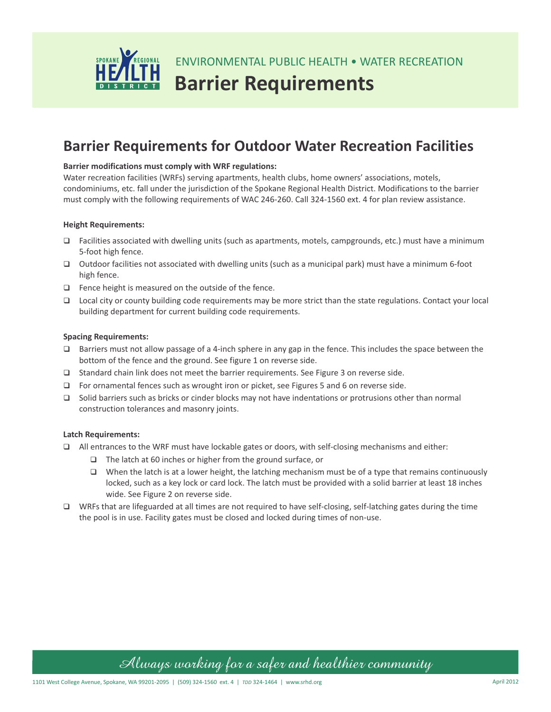

# **Barrier Requirements for Outdoor Water Recreation Facilities**

### **Barrier modifications must comply with WRF regulations:**

Water recreation facilities (WRFs) serving apartments, health clubs, home owners' associations, motels, condominiums, etc. fall under the jurisdiction of the Spokane Regional Health District. Modifications to the barrier must comply with the following requirements of WAC 246-260. Call 324-1560 ext. 4 for plan review assistance.

### **Height Requirements:**

- $\Box$  Facilities associated with dwelling units (such as apartments, motels, campgrounds, etc.) must have a minimum 5-foot high fence.
- $\Box$  Outdoor facilities not associated with dwelling units (such as a municipal park) must have a minimum 6-foot high fence.
- $\Box$  Fence height is measured on the outside of the fence.
- □ Local city or county building code requirements may be more strict than the state regulations. Contact your local building department for current building code requirements.

#### **Spacing Requirements:**

- $\Box$  Barriers must not allow passage of a 4-inch sphere in any gap in the fence. This includes the space between the bottom of the fence and the ground. See figure 1 on reverse side.
- $\Box$  Standard chain link does not meet the barrier requirements. See Figure 3 on reverse side.
- $\Box$  For ornamental fences such as wrought iron or picket, see Figures 5 and 6 on reverse side.
- $\Box$  Solid barriers such as bricks or cinder blocks may not have indentations or protrusions other than normal construction tolerances and masonry joints.

#### **Latch Requirements:**

- $\Box$  All entrances to the WRF must have lockable gates or doors, with self-closing mechanisms and either:
	- □ The latch at 60 inches or higher from the ground surface, or
	- $\Box$  When the latch is at a lower height, the latching mechanism must be of a type that remains continuously locked, such as a key lock or card lock. The latch must be provided with a solid barrier at least 18 inches wide. See Figure 2 on reverse side.
- $\square$  WRFs that are lifeguarded at all times are not required to have self-closing, self-latching gates during the time the pool is in use. Facility gates must be closed and locked during times of non-use.

## *Always working for a safer and healthier community*